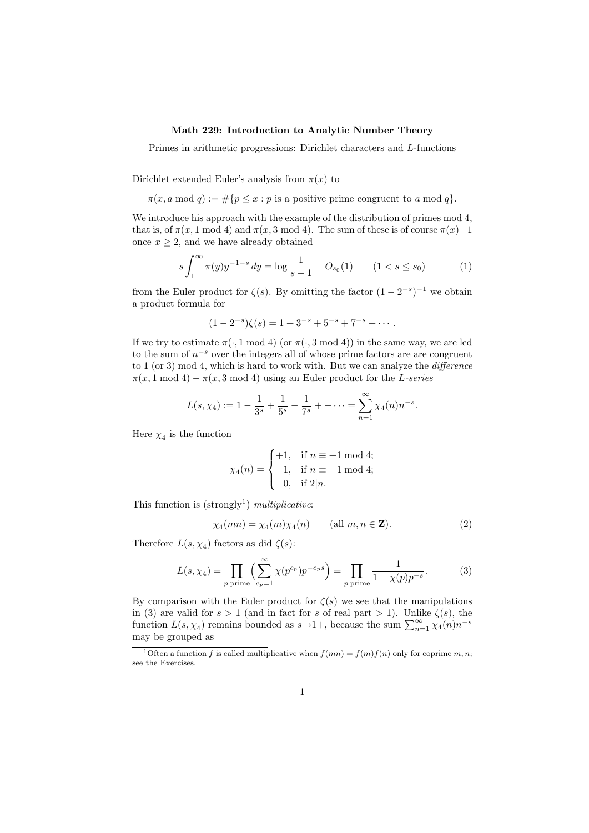## Math 229: Introduction to Analytic Number Theory

Primes in arithmetic progressions: Dirichlet characters and L-functions

Dirichlet extended Euler's analysis from  $\pi(x)$  to

 $\pi(x, a \mod q) := \#\{p \leq x : p \text{ is a positive prime congruent to } a \mod q\}.$ 

We introduce his approach with the example of the distribution of primes mod 4, that is, of  $\pi(x, 1 \mod 4)$  and  $\pi(x, 3 \mod 4)$ . The sum of these is of course  $\pi(x)-1$ once  $x \geq 2$ , and we have already obtained

$$
s \int_1^{\infty} \pi(y) y^{-1-s} dy = \log \frac{1}{s-1} + O_{s_0}(1) \qquad (1 < s \le s_0) \tag{1}
$$

from the Euler product for  $\zeta(s)$ . By omitting the factor  $(1-2^{-s})^{-1}$  we obtain a product formula for

$$
(1-2^{-s})\zeta(s) = 1+3^{-s}+5^{-s}+7^{-s}+\cdots.
$$

If we try to estimate  $\pi(\cdot, 1 \mod 4)$  (or  $\pi(\cdot, 3 \mod 4)$ ) in the same way, we are led to the sum of  $n^{-s}$  over the integers all of whose prime factors are are congruent to 1 (or 3) mod 4, which is hard to work with. But we can analyze the difference  $\pi(x, 1 \mod 4) - \pi(x, 3 \mod 4)$  using an Euler product for the L-series

$$
L(s, \chi_4) := 1 - \frac{1}{3^s} + \frac{1}{5^s} - \frac{1}{7^s} + \dots = \sum_{n=1}^{\infty} \chi_4(n) n^{-s}.
$$

Here  $\chi_4$  is the function

$$
\chi_4(n) = \begin{cases} +1, & \text{if } n \equiv +1 \bmod 4; \\ -1, & \text{if } n \equiv -1 \bmod 4; \\ 0, & \text{if } 2|n. \end{cases}
$$

This function is  $(\text{strongly}^1)$  multiplicative:

$$
\chi_4(mn) = \chi_4(m)\chi_4(n) \qquad \text{(all } m, n \in \mathbf{Z}\text{)}.
$$
 (2)

Therefore  $L(s, \chi_4)$  factors as did  $\zeta(s)$ :

$$
L(s, \chi_4) = \prod_{p \text{ prime}} \left( \sum_{c_p=1}^{\infty} \chi(p^{c_p}) p^{-c_p s} \right) = \prod_{p \text{ prime}} \frac{1}{1 - \chi(p) p^{-s}}.
$$
 (3)

By comparison with the Euler product for  $\zeta(s)$  we see that the manipulations in (3) are valid for  $s > 1$  (and in fact for s of real part  $> 1$ ). Unlike  $\zeta(s)$ , the function  $L(s, \chi_4)$  remains bounded as  $s \to 1+$ , because the sum  $\sum_{n=1}^{\infty} \chi_4(n) n^{-s}$ may be grouped as

<sup>&</sup>lt;sup>1</sup>Often a function f is called multiplicative when  $f(mn) = f(m)f(n)$  only for coprime m, n; see the Exercises.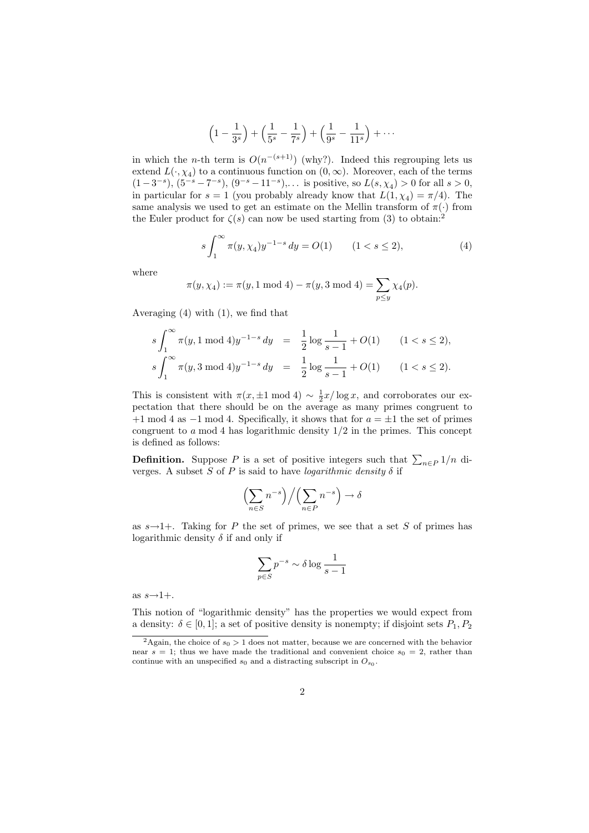$$
\left(1 - \frac{1}{3^s}\right) + \left(\frac{1}{5^s} - \frac{1}{7^s}\right) + \left(\frac{1}{9^s} - \frac{1}{11^s}\right) + \cdots
$$

in which the *n*-th term is  $O(n^{-(s+1)})$  (why?). Indeed this regrouping lets us extend  $L(\cdot, \chi_4)$  to a continuous function on  $(0, \infty)$ . Moreover, each of the terms  $(1-3^{-s}), (5^{-s}-7^{-s}), (9^{-s}-11^{-s}), \dots$  is positive, so  $L(s, \chi_4) > 0$  for all  $s > 0$ , in particular for  $s = 1$  (you probably already know that  $L(1, \chi_4) = \pi/4$ ). The same analysis we used to get an estimate on the Mellin transform of  $\pi(\cdot)$  from the Euler product for  $\zeta(s)$  can now be used starting from (3) to obtain:<sup>2</sup>

$$
s \int_{1}^{\infty} \pi(y, \chi_4) y^{-1-s} dy = O(1) \qquad (1 < s \le 2), \tag{4}
$$

where

$$
\pi(y, \chi_4) := \pi(y, 1 \mod 4) - \pi(y, 3 \mod 4) = \sum_{p \le y} \chi_4(p).
$$

Averaging (4) with (1), we find that

$$
\begin{array}{lcl} s\int_1^\infty \pi(y,1\ {\rm mod}\ 4) y^{-1-s}\,dy&=&\displaystyle\frac{1}{2}\log \frac{1}{s-1}+O(1)\quad &(1
$$

This is consistent with  $\pi(x, \pm 1 \mod 4) \sim \frac{1}{2}x/\log x$ , and corroborates our expectation that there should be on the average as many primes congruent to  $+1 \mod 4$  as  $-1 \mod 4$ . Specifically, it shows that for  $a = \pm 1$  the set of primes congruent to a mod 4 has logarithmic density  $1/2$  in the primes. This concept is defined as follows:

**Definition.** Suppose P is a set of positive integers such that  $\sum_{n\in P} 1/n$  diverges. A subset S of P is said to have *logarithmic density*  $\delta$  if

$$
\left(\sum_{n\in S} n^{-s}\right) \Big/ \left(\sum_{n\in P} n^{-s}\right) \to \delta
$$

as  $s \rightarrow 1+$ . Taking for P the set of primes, we see that a set S of primes has logarithmic density  $\delta$  if and only if

$$
\sum_{p \in S} p^{-s} \sim \delta \log \frac{1}{s-1}
$$

as  $s\rightarrow 1+$ .

This notion of "logarithmic density" has the properties we would expect from a density:  $\delta \in [0,1]$ ; a set of positive density is nonempty; if disjoint sets  $P_1, P_2$ 

<sup>&</sup>lt;sup>2</sup>Again, the choice of  $s_0 > 1$  does not matter, because we are concerned with the behavior near  $s = 1$ ; thus we have made the traditional and convenient choice  $s_0 = 2$ , rather than continue with an unspecified  $s_0$  and a distracting subscript in  $O_{s_0}$ .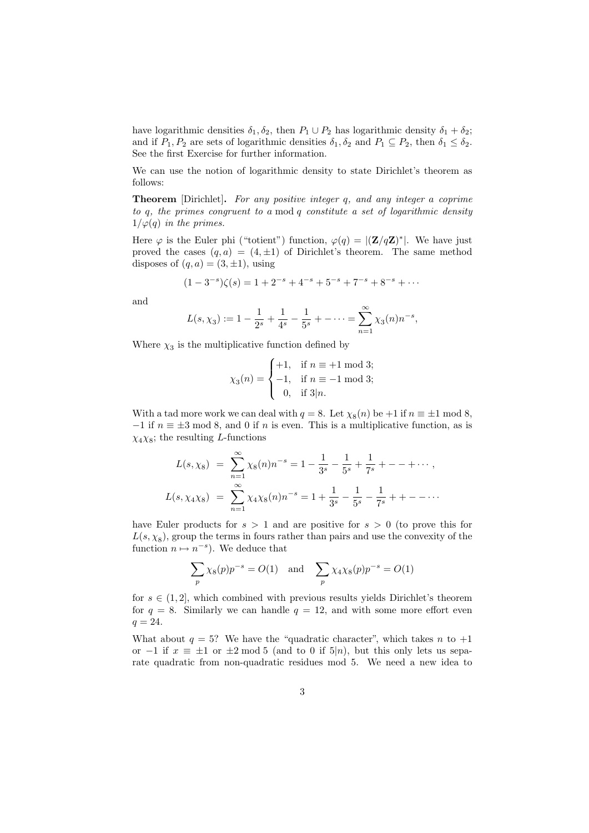have logarithmic densities  $\delta_1, \delta_2$ , then  $P_1 \cup P_2$  has logarithmic density  $\delta_1 + \delta_2$ ; and if  $P_1, P_2$  are sets of logarithmic densities  $\delta_1, \delta_2$  and  $P_1 \subseteq P_2$ , then  $\delta_1 \leq \delta_2$ . See the first Exercise for further information.

We can use the notion of logarithmic density to state Dirichlet's theorem as follows:

Theorem [Dirichlet]. For any positive integer q, and any integer a coprime to q, the primes congruent to a mod q constitute a set of logarithmic density  $1/\varphi(q)$  in the primes.

Here  $\varphi$  is the Euler phi ("totient") function,  $\varphi(q) = |(\mathbf{Z}/q\mathbf{Z})^*|$ . We have just proved the cases  $(q, a) = (4, \pm 1)$  of Dirichlet's theorem. The same method disposes of  $(q, a) = (3, \pm 1)$ , using

$$
(1-3^{-s})\zeta(s) = 1 + 2^{-s} + 4^{-s} + 5^{-s} + 7^{-s} + 8^{-s} + \cdots
$$

and

$$
L(s, \chi_3) := 1 - \frac{1}{2^s} + \frac{1}{4^s} - \frac{1}{5^s} + \dots = \sum_{n=1}^{\infty} \chi_3(n) n^{-s},
$$

Where  $\chi_3$  is the multiplicative function defined by

$$
\chi_3(n) = \begin{cases} +1, & \text{if } n \equiv +1 \bmod 3; \\ -1, & \text{if } n \equiv -1 \bmod 3; \\ 0, & \text{if } 3|n. \end{cases}
$$

With a tad more work we can deal with  $q = 8$ . Let  $\chi_8(n)$  be  $+1$  if  $n \equiv \pm 1 \mod 8$ ,  $-1$  if  $n \equiv \pm 3 \mod 8$ , and 0 if n is even. This is a multiplicative function, as is  $\chi_4\chi_8$ ; the resulting L-functions

$$
L(s, \chi_8) = \sum_{n=1}^{\infty} \chi_8(n) n^{-s} = 1 - \frac{1}{3^s} - \frac{1}{5^s} + \frac{1}{7^s} + \dots + \dots,
$$
  

$$
L(s, \chi_4 \chi_8) = \sum_{n=1}^{\infty} \chi_4 \chi_8(n) n^{-s} = 1 + \frac{1}{3^s} - \frac{1}{5^s} - \frac{1}{7^s} + \dots
$$

have Euler products for  $s > 1$  and are positive for  $s > 0$  (to prove this for  $L(s, \chi_8)$ , group the terms in fours rather than pairs and use the convexity of the function  $n \mapsto n^{-s}$ ). We deduce that

$$
\sum_{p} \chi_{8}(p)p^{-s} = O(1) \text{ and } \sum_{p} \chi_{4}\chi_{8}(p)p^{-s} = O(1)
$$

for  $s \in (1, 2]$ , which combined with previous results yields Dirichlet's theorem for  $q = 8$ . Similarly we can handle  $q = 12$ , and with some more effort even  $q = 24.$ 

What about  $q = 5$ ? We have the "quadratic character", which takes n to  $+1$ or −1 if  $x \equiv \pm 1$  or  $\pm 2 \mod 5$  (and to 0 if 5|n), but this only lets us separate quadratic from non-quadratic residues mod 5. We need a new idea to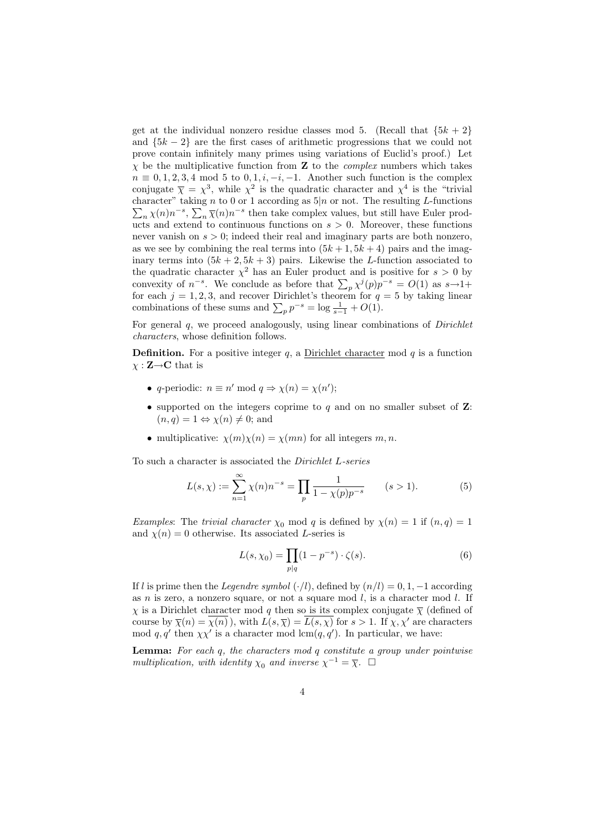get at the individual nonzero residue classes mod 5. (Recall that  ${5k+2}$ ) and  ${5k-2}$  are the first cases of arithmetic progressions that we could not prove contain infinitely many primes using variations of Euclid's proof.) Let  $\chi$  be the multiplicative function from **Z** to the *complex* numbers which takes  $n \equiv 0, 1, 2, 3, 4 \mod 5$  to  $0, 1, i, -i, -1$ . Another such function is the complex conjugate  $\bar{\chi} = \chi^3$ , while  $\chi^2$  is the quadratic character and  $\chi^4$  is the "trivial" character" taking n to 0 or 1 according as  $5|n$  or not. The resulting L-functions  $\sum_{n} \chi(n) n^{-s}$ ,  $\sum_{n} \overline{\chi}(n) n^{-s}$  then take complex values, but still have Euler products and extend to continuous functions on  $s > 0$ . Moreover, these functions never vanish on  $s > 0$ ; indeed their real and imaginary parts are both nonzero, as we see by combining the real terms into  $(5k+1, 5k+4)$  pairs and the imaginary terms into  $(5k + 2, 5k + 3)$  pairs. Likewise the L-function associated to the quadratic character  $\chi^2$  has an Euler product and is positive for  $s > 0$  by convexity of  $n^{-s}$ . We conclude as before that  $\sum_{p} \chi^{j}(p) p^{-s} = O(1)$  as  $s \to 1+$ for each  $j = 1, 2, 3$ , and recover Dirichlet's theorem for  $q = 5$  by taking linear combinations of these sums and  $\sum_{p} p^{-s} = \log \frac{1}{s-1} + O(1)$ .

For general  $q$ , we proceed analogously, using linear combinations of *Dirichlet* characters, whose definition follows.

**Definition.** For a positive integer  $q$ , a Dirichlet character mod  $q$  is a function  $\chi : \mathbf{Z} \rightarrow \mathbf{C}$  that is

- q-periodic:  $n \equiv n' \mod q \Rightarrow \chi(n) = \chi(n')$ ;
- supported on the integers coprime to  $q$  and on no smaller subset of  $\mathbf{Z}$ :  $(n, q) = 1 \Leftrightarrow \chi(n) \neq 0;$  and
- multiplicative:  $\chi(m)\chi(n) = \chi(mn)$  for all integers m, n.

To such a character is associated the Dirichlet L-series

$$
L(s,\chi) := \sum_{n=1}^{\infty} \chi(n)n^{-s} = \prod_{p} \frac{1}{1 - \chi(p)p^{-s}} \qquad (s > 1).
$$
 (5)

*Examples:* The *trivial character*  $\chi_0$  mod q is defined by  $\chi(n) = 1$  if  $(n, q) = 1$ and  $\chi(n) = 0$  otherwise. Its associated L-series is

$$
L(s, \chi_0) = \prod_{p|q} (1 - p^{-s}) \cdot \zeta(s).
$$
 (6)

If l is prime then the Legendre symbol  $(\cdot/l)$ , defined by  $(n/l) = 0, 1, -1$  according as n is zero, a nonzero square, or not a square mod  $l$ , is a character mod  $l$ . If  $\chi$  is a Dirichlet character mod q then so is its complex conjugate  $\overline{\chi}$  (defined of course by  $\overline{\chi}(n) = \overline{\chi(n)}$ , with  $L(s, \overline{\chi}) = \overline{L(s, \chi)}$  for  $s > 1$ . If  $\chi, \chi'$  are characters mod  $q, q'$  then  $\chi \chi'$  is a character mod lcm $(q, q')$ . In particular, we have:

**Lemma:** For each  $q$ , the characters mod  $q$  constitute a group under pointwise multiplication, with identity  $\chi_0$  and inverse  $\chi^{-1} = \overline{\chi}$ .  $\Box$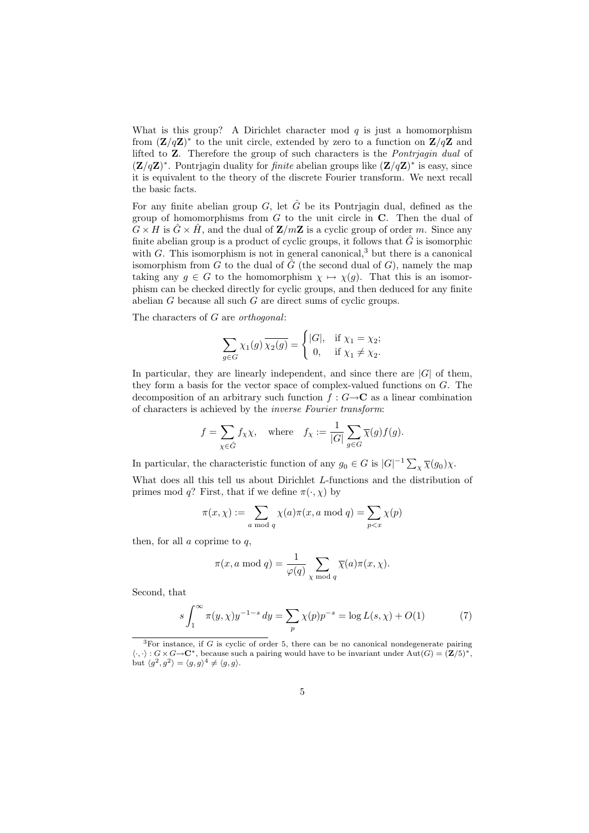What is this group? A Dirichlet character mod  $q$  is just a homomorphism from  $(\mathbf{Z}/q\mathbf{Z})^*$  to the unit circle, extended by zero to a function on  $\mathbf{Z}/q\mathbf{Z}$  and lifted to Z. Therefore the group of such characters is the Pontrjagin dual of  $(\mathbf{Z}/q\mathbf{Z})^*$ . Pontrjagin duality for *finite* abelian groups like  $(\mathbf{Z}/q\mathbf{Z})^*$  is easy, since it is equivalent to the theory of the discrete Fourier transform. We next recall the basic facts.

For any finite abelian group G, let  $\hat{G}$  be its Pontrjagin dual, defined as the group of homomorphisms from  $G$  to the unit circle in  $C$ . Then the dual of  $G \times H$  is  $\hat{G} \times \hat{H}$ , and the dual of  $\mathbf{Z}/m\mathbf{Z}$  is a cyclic group of order m. Since any finite abelian group is a product of cyclic groups, it follows that  $\hat{G}$  is isomorphic with  $G$ . This isomorphism is not in general canonical,<sup>3</sup> but there is a canonical isomorphism from G to the dual of  $\hat{G}$  (the second dual of G), namely the map taking any  $g \in G$  to the homomorphism  $\chi \mapsto \chi(g)$ . That this is an isomorphism can be checked directly for cyclic groups, and then deduced for any finite abelian G because all such G are direct sums of cyclic groups.

The characters of G are orthogonal:

$$
\sum_{g \in G} \chi_1(g) \overline{\chi_2(g)} = \begin{cases} |G|, & \text{if } \chi_1 = \chi_2; \\ 0, & \text{if } \chi_1 \neq \chi_2. \end{cases}
$$

In particular, they are linearly independent, and since there are  $|G|$  of them, they form a basis for the vector space of complex-valued functions on G. The decomposition of an arbitrary such function  $f : G \rightarrow \mathbb{C}$  as a linear combination of characters is achieved by the inverse Fourier transform:

$$
f = \sum_{\chi \in \hat{G}} f_{\chi} \chi, \quad \text{where} \quad f_{\chi} := \frac{1}{|G|} \sum_{g \in G} \overline{\chi}(g) f(g).
$$

In particular, the characteristic function of any  $g_0 \in G$  is  $|G|^{-1} \sum_{\chi} \overline{\chi}(g_0) \chi$ .

What does all this tell us about Dirichlet L-functions and the distribution of primes mod q? First, that if we define  $\pi(\cdot, \chi)$  by

$$
\pi(x,\chi) := \sum_{a \bmod q} \chi(a)\pi(x,a \bmod q) = \sum_{p
$$

then, for all  $a$  coprime to  $q$ ,

$$
\pi(x, a \mod q) = \frac{1}{\varphi(q)} \sum_{\chi \mod q} \overline{\chi}(a) \pi(x, \chi).
$$

Second, that

$$
s \int_{1}^{\infty} \pi(y, \chi) y^{-1-s} dy = \sum_{p} \chi(p) p^{-s} = \log L(s, \chi) + O(1)
$$
 (7)

 ${}^{3}$ For instance, if G is cyclic of order 5, there can be no canonical nondegenerate pairing  $\langle \cdot, \cdot \rangle : G \times G \to \mathbb{C}^*$ , because such a pairing would have to be invariant under  $\text{Aut}(G) = (\mathbb{Z}/5)^*$ , but  $\langle g^2, g^2 \rangle = \langle g, g \rangle^4 \neq \langle g, g \rangle$ .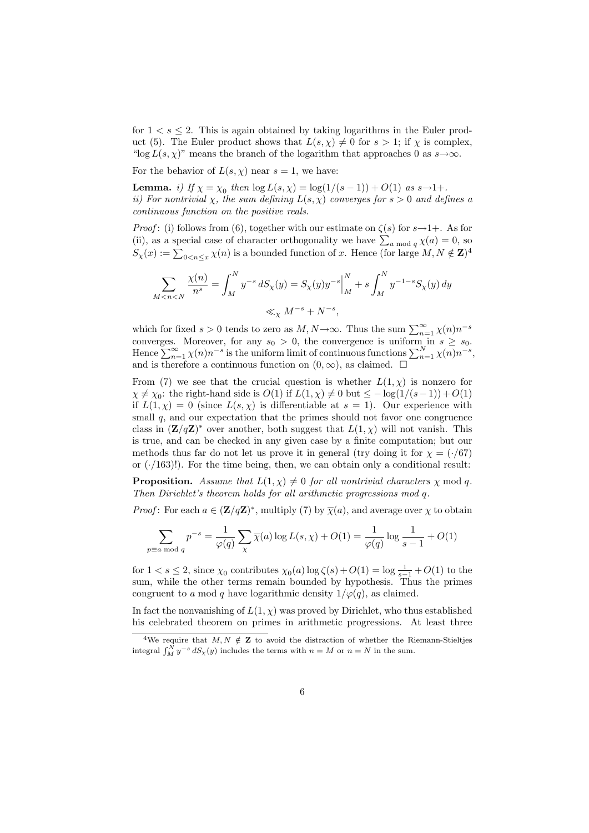for  $1 \lt s \leq 2$ . This is again obtained by taking logarithms in the Euler product (5). The Euler product shows that  $L(s, \chi) \neq 0$  for  $s > 1$ ; if  $\chi$  is complex, "log  $L(s, \chi)$ " means the branch of the logarithm that approaches 0 as  $s \to \infty$ .

For the behavior of  $L(s, \chi)$  near  $s = 1$ , we have:

**Lemma.** *i)* If  $\chi = \chi_0$  then  $\log L(s, \chi) = \log(1/(s-1)) + O(1)$  as  $s \to 1+.$ ii) For nontrivial  $\chi$ , the sum defining  $L(s, \chi)$  converges for  $s > 0$  and defines a continuous function on the positive reals.

*Proof*: (i) follows from (6), together with our estimate on  $\zeta(s)$  for  $s\rightarrow 1+$ . As for (ii), as a special case of character orthogonality we have  $\sum_{a \bmod q} \chi(a) = 0$ , so  $S_{\chi}(x) := \sum_{0 \le n \le x} \chi(n)$  is a bounded function of x. Hence (for large  $M, N \notin \mathbb{Z}^4$ )

$$
\sum_{M < n < N} \frac{\chi(n)}{n^s} = \int_M^N y^{-s} \, dS_\chi(y) = S_\chi(y) y^{-s} \Big|_M^N + s \int_M^N y^{-1-s} S_\chi(y) \, dy
$$
\n
$$
\ll_\chi M^{-s} + N^{-s},
$$

which for fixed  $s > 0$  tends to zero as  $M, N \to \infty$ . Thus the sum  $\sum_{n=1}^{\infty} \chi(n) n^{-s}$ converges. Moreover, for any  $s_0 > 0$ , the convergence is uniform in  $s \geq s_0$ . Hence  $\sum_{n=1}^{\infty} \chi(n) n^{-s}$  is the uniform limit of continuous functions  $\sum_{n=1}^{N} \chi(n) n^{-s}$ , and is therefore a continuous function on  $(0, \infty)$ , as claimed.  $\square$ 

From (7) we see that the crucial question is whether  $L(1, \chi)$  is nonzero for  $\chi \neq \chi_0$ : the right-hand side is  $O(1)$  if  $L(1,\chi) \neq 0$  but  $\leq -\log(1/(s-1)) + O(1)$ if  $L(1,\chi) = 0$  (since  $L(s,\chi)$  is differentiable at  $s = 1$ ). Our experience with small  $q$ , and our expectation that the primes should not favor one congruence class in  $(\mathbf{Z}/q\mathbf{Z})^*$  over another, both suggest that  $L(1,\chi)$  will not vanish. This is true, and can be checked in any given case by a finite computation; but our methods thus far do not let us prove it in general (try doing it for  $\chi = (\cdot/67)$ ) or  $(\cdot/163)!$ . For the time being, then, we can obtain only a conditional result:

**Proposition.** Assume that  $L(1, \chi) \neq 0$  for all nontrivial characters  $\chi$  mod q. Then Dirichlet's theorem holds for all arithmetic progressions mod q.

*Proof*: For each  $a \in (\mathbf{Z}/q\mathbf{Z})^*$ , multiply (7) by  $\overline{\chi}(a)$ , and average over  $\chi$  to obtain

$$
\sum_{p \equiv a \bmod q} p^{-s} = \frac{1}{\varphi(q)} \sum_{\chi} \overline{\chi}(a) \log L(s, \chi) + O(1) = \frac{1}{\varphi(q)} \log \frac{1}{s-1} + O(1)
$$

for  $1 < s \leq 2$ , since  $\chi_0$  contributes  $\chi_0(a) \log \zeta(s) + O(1) = \log \frac{1}{s-1} + O(1)$  to the sum, while the other terms remain bounded by hypothesis. Thus the primes congruent to a mod q have logarithmic density  $1/\varphi(q)$ , as claimed.

In fact the nonvanishing of  $L(1, \chi)$  was proved by Dirichlet, who thus established his celebrated theorem on primes in arithmetic progressions. At least three

<sup>&</sup>lt;sup>4</sup>We require that  $M, N \notin \mathbf{Z}$  to avoid the distraction of whether the Riemann-Stieltjes integral  $\int_M^N y^{-s} dS_\chi(y)$  includes the terms with  $n = M$  or  $n = N$  in the sum.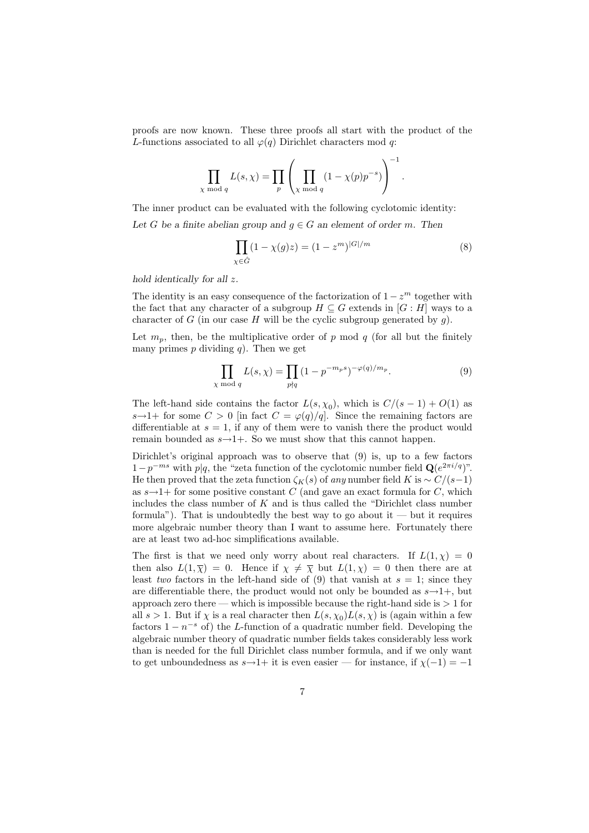proofs are now known. These three proofs all start with the product of the L-functions associated to all  $\varphi(q)$  Dirichlet characters mod q:

$$
\prod_{\chi \bmod q} L(s, \chi) = \prod_p \left( \prod_{\chi \bmod q} (1 - \chi(p)p^{-s}) \right)^{-1}
$$

The inner product can be evaluated with the following cyclotomic identity: Let G be a finite abelian group and  $g \in G$  an element of order m. Then

$$
\prod_{\chi \in \hat{G}} (1 - \chi(g)z) = (1 - z^m)^{|G|/m}
$$
 (8)

.

hold identically for all z.

The identity is an easy consequence of the factorization of  $1 - z<sup>m</sup>$  together with the fact that any character of a subgroup  $H \subseteq G$  extends in  $[G : H]$  ways to a character of G (in our case H will be the cyclic subgroup generated by  $g$ ).

Let  $m_p$ , then, be the multiplicative order of p mod q (for all but the finitely many primes p dividing q). Then we get

$$
\prod_{\chi \bmod q} L(s, \chi) = \prod_{p \nmid q} (1 - p^{-m_p s})^{-\varphi(q)/m_p}.
$$
\n(9)

The left-hand side contains the factor  $L(s, \chi_0)$ , which is  $C/(s-1) + O(1)$  as s $\rightarrow$ 1+ for some  $C > 0$  [in fact  $C = \varphi(q)/q$ ]. Since the remaining factors are differentiable at  $s = 1$ , if any of them were to vanish there the product would remain bounded as  $s \rightarrow 1+$ . So we must show that this cannot happen.

Dirichlet's original approach was to observe that (9) is, up to a few factors  $1-p^{-ms}$  with  $p|q$ , the "zeta function of the cyclotomic number field  $\mathbf{Q}(e^{2\pi i/q})$ ". He then proved that the zeta function  $\zeta_K(s)$  of any number field K is ~  $C/(s-1)$ as  $s \rightarrow 1+$  for some positive constant C (and gave an exact formula for C, which includes the class number of  $K$  and is thus called the "Dirichlet class number formula"). That is undoubtedly the best way to go about it — but it requires more algebraic number theory than I want to assume here. Fortunately there are at least two ad-hoc simplifications available.

The first is that we need only worry about real characters. If  $L(1, \chi) = 0$ then also  $L(1,\overline{\chi}) = 0$ . Hence if  $\chi \neq \overline{\chi}$  but  $L(1,\chi) = 0$  then there are at least two factors in the left-hand side of (9) that vanish at  $s = 1$ ; since they are differentiable there, the product would not only be bounded as  $s \rightarrow 1+$ , but approach zero there — which is impossible because the right-hand side is  $> 1$  for all  $s > 1$ . But if  $\chi$  is a real character then  $L(s, \chi_0) L(s, \chi)$  is (again within a few factors  $1 - n^{-s}$  of) the L-function of a quadratic number field. Developing the algebraic number theory of quadratic number fields takes considerably less work than is needed for the full Dirichlet class number formula, and if we only want to get unboundedness as  $s \rightarrow 1+$  it is even easier — for instance, if  $\chi(-1) = -1$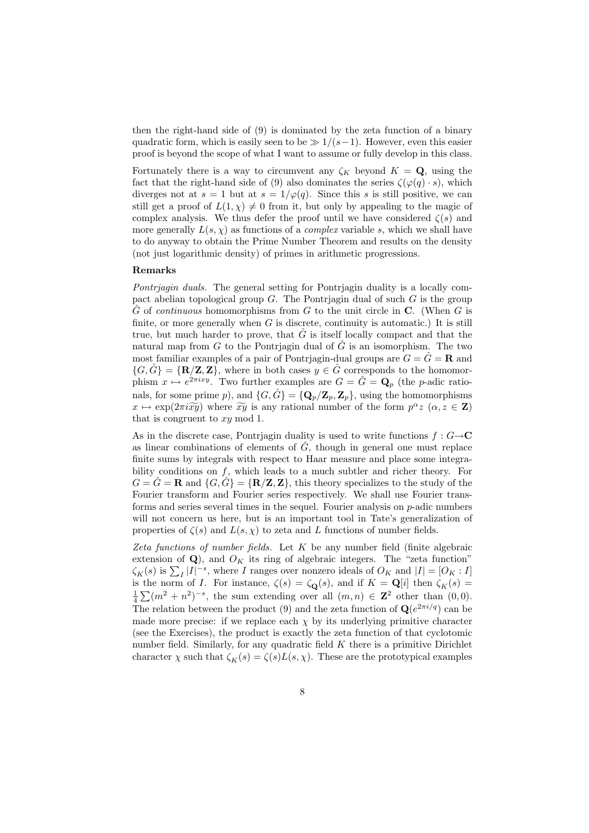then the right-hand side of (9) is dominated by the zeta function of a binary quadratic form, which is easily seen to be  $\gg 1/(s-1)$ . However, even this easier proof is beyond the scope of what I want to assume or fully develop in this class.

Fortunately there is a way to circumvent any  $\zeta_K$  beyond  $K = \mathbf{Q}$ , using the fact that the right-hand side of (9) also dominates the series  $\zeta(\varphi(q) \cdot s)$ , which diverges not at  $s = 1$  but at  $s = 1/\varphi(q)$ . Since this s is still positive, we can still get a proof of  $L(1, \chi) \neq 0$  from it, but only by appealing to the magic of complex analysis. We thus defer the proof until we have considered  $\zeta(s)$  and more generally  $L(s, \chi)$  as functions of a *complex* variable s, which we shall have to do anyway to obtain the Prime Number Theorem and results on the density (not just logarithmic density) of primes in arithmetic progressions.

## Remarks

Pontrjagin duals. The general setting for Pontrjagin duality is a locally compact abelian topological group  $G$ . The Pontriagin dual of such  $G$  is the group  $\hat{G}$  of continuous homomorphisms from G to the unit circle in C. (When G is finite, or more generally when  $G$  is discrete, continuity is automatic.) It is still true, but much harder to prove, that  $\tilde{G}$  is itself locally compact and that the natural map from  $G$  to the Pontriagin dual of  $G$  is an isomorphism. The two most familiar examples of a pair of Pontriagin-dual groups are  $G = \hat{G} = \mathbf{R}$  and  $\{G,\hat{G}\} = {\bf R/Z,Z}\},\$  where in both cases  $y \in \hat{G}$  corresponds to the homomorphism  $x \mapsto e^{2\pi i x y}$ . Two further examples are  $G = \hat{G} = \mathbf{Q}_p$  (the p-adic rationals, for some prime p), and  $\{G, \hat{G}\} = {\bf Q}_p/{\bf Z}_p, {\bf Z}_p\}$ , using the homomorphisms  $x \mapsto \exp(2\pi i \tilde{x} \tilde{y})$  where  $\tilde{x} \tilde{y}$  is any rational number of the form  $p^{\alpha} z$   $(\alpha, z \in \mathbf{Z})$ that is congruent to  $xy \mod 1$ .

As in the discrete case, Pontrjagin duality is used to write functions  $f: G \rightarrow \mathbb{C}$ as linear combinations of elements of  $\hat{G}$ , though in general one must replace finite sums by integrals with respect to Haar measure and place some integrability conditions on  $f$ , which leads to a much subtler and richer theory. For  $G = \hat{G} = \mathbf{R}$  and  $\{G, \hat{G}\} = \{\mathbf{R}/\mathbf{Z}, \mathbf{Z}\}\$ , this theory specializes to the study of the Fourier transform and Fourier series respectively. We shall use Fourier transforms and series several times in the sequel. Fourier analysis on p-adic numbers will not concern us here, but is an important tool in Tate's generalization of properties of  $\zeta(s)$  and  $L(s, \chi)$  to zeta and L functions of number fields.

Zeta functions of number fields. Let  $K$  be any number field (finite algebraic extension of  $\mathbf{Q}$ ), and  $O_K$  its ring of algebraic integers. The "zeta function"  $\zeta_K(s)$  is  $\sum_I |I|^{-s}$ , where I ranges over nonzero ideals of  $O_K$  and  $|I| = [O_K : I]$ is the norm of *I*. For instance,  $\zeta(s) = \zeta_{\mathbf{Q}}(s)$ , and if  $K = \mathbf{Q}[i]$  then  $\zeta_K(s) =$  $\frac{1}{4}\sum (m^2 + n^2)^{-s}$ , the sum extending over all  $(m, n) \in \mathbb{Z}^2$  other than  $(0, 0)$ . The relation between the product (9) and the zeta function of  $\mathbf{Q}(e^{2\pi i/q})$  can be made more precise: if we replace each  $\chi$  by its underlying primitive character (see the Exercises), the product is exactly the zeta function of that cyclotomic number field. Similarly, for any quadratic field  $K$  there is a primitive Dirichlet character  $\chi$  such that  $\zeta_K(s) = \zeta(s)L(s,\chi)$ . These are the prototypical examples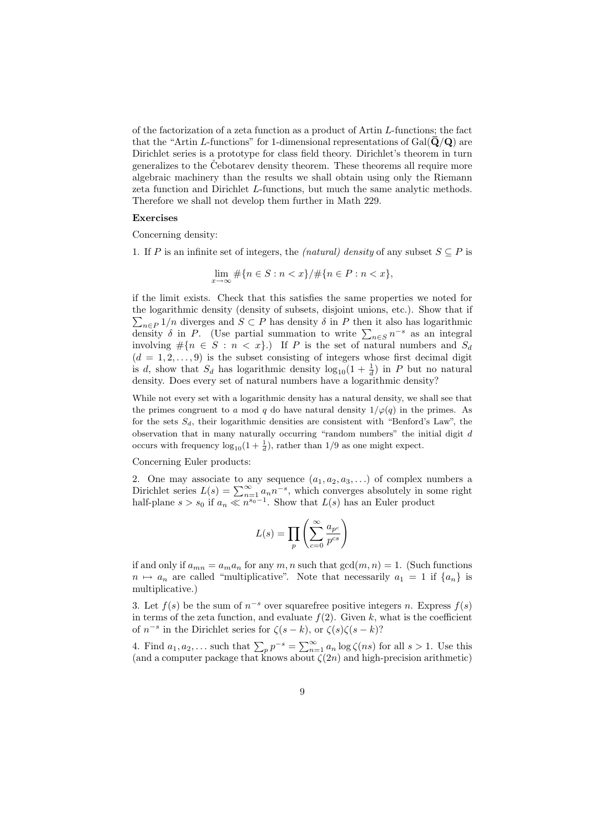of the factorization of a zeta function as a product of Artin L-functions; the fact that the "Artin L-functions" for 1-dimensional representations of  $Gal(\mathbf{Q}/\mathbf{Q})$  are Dirichlet series is a prototype for class field theory. Dirichlet's theorem in turn generalizes to the Cebotarev density theorem. These theorems all require more algebraic machinery than the results we shall obtain using only the Riemann zeta function and Dirichlet L-functions, but much the same analytic methods. Therefore we shall not develop them further in Math 229.

## Exercises

Concerning density:

1. If P is an infinite set of integers, the *(natural) density* of any subset  $S \subseteq P$  is

$$
\lim_{x \to \infty} \# \{ n \in S : n < x \} / \# \{ n \in P : n < x \},
$$

if the limit exists. Check that this satisfies the same properties we noted for the logarithmic density (density of subsets, disjoint unions, etc.). Show that if  $\sum_{n\in P} 1/n$  diverges and  $S \subset P$  has density  $\delta$  in P then it also has logarithmic density  $\delta$  in P. (Use partial summation to write  $\sum_{n\in S} n^{-s}$  as an integral involving  $\#\{n \in S : n < x\}$ .) If P is the set of natural numbers and  $S_d$  $(d = 1, 2, \ldots, 9)$  is the subset consisting of integers whose first decimal digit is d, show that  $S_d$  has logarithmic density  $\log_{10}(1+\frac{1}{d})$  in P but no natural density. Does every set of natural numbers have a logarithmic density?

While not every set with a logarithmic density has a natural density, we shall see that the primes congruent to a mod q do have natural density  $1/\varphi(q)$  in the primes. As for the sets  $S_d$ , their logarithmic densities are consistent with "Benford's Law", the observation that in many naturally occurring "random numbers" the initial digit  $d$ occurs with frequency  $\log_{10}(1+\frac{1}{d})$ , rather than 1/9 as one might expect.

Concerning Euler products:

2. One may associate to any sequence  $(a_1, a_2, a_3, \ldots)$  of complex numbers a Dirichlet series  $L(s) = \sum_{n=1}^{\infty} a_n n^{-s}$ , which converges absolutely in some right half-plane  $s > s_0$  if  $a_n \ll n^{s_0-1}$ . Show that  $L(s)$  has an Euler product

$$
L(s) = \prod_{p} \left( \sum_{c=0}^{\infty} \frac{a_{p^c}}{p^{cs}} \right)
$$

if and only if  $a_{mn} = a_m a_n$  for any m, n such that  $gcd(m, n) = 1$ . (Such functions  $n \mapsto a_n$  are called "multiplicative". Note that necessarily  $a_1 = 1$  if  $\{a_n\}$  is multiplicative.)

3. Let  $f(s)$  be the sum of  $n^{-s}$  over squarefree positive integers n. Express  $f(s)$ in terms of the zeta function, and evaluate  $f(2)$ . Given k, what is the coefficient of  $n^{-s}$  in the Dirichlet series for  $\zeta(s-k)$ , or  $\zeta(s)\zeta(s-k)$ ?

4. Find  $a_1, a_2, \ldots$  such that  $\sum_p p^{-s} = \sum_{n=1}^{\infty} a_n \log \zeta(ns)$  for all  $s > 1$ . Use this (and a computer package that knows about  $\zeta(2n)$  and high-precision arithmetic)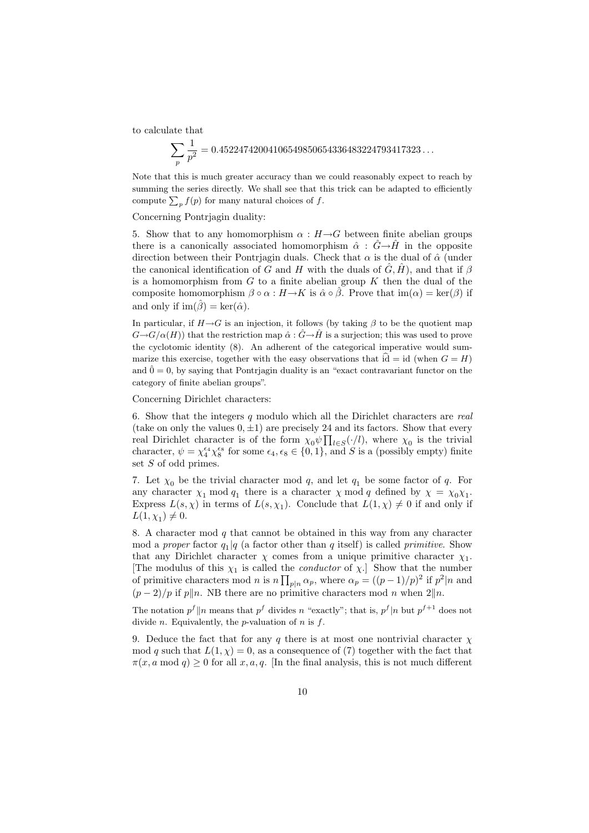to calculate that

$$
\sum_{p} \frac{1}{p^2} = 0.45224742004106549850654336483224793417323...
$$

Note that this is much greater accuracy than we could reasonably expect to reach by summing the series directly. We shall see that this trick can be adapted to efficiently compute  $\sum_{p} f(p)$  for many natural choices of f.

Concerning Pontrjagin duality:

5. Show that to any homomorphism  $\alpha : H \rightarrow G$  between finite abelian groups there is a canonically associated homomorphism  $\hat{\alpha}$  :  $\hat{G} \rightarrow \hat{H}$  in the opposite direction between their Pontriagin duals. Check that  $\alpha$  is the dual of  $\hat{\alpha}$  (under the canonical identification of G and H with the duals of  $\hat{G}, \hat{H}$ , and that if  $\beta$ is a homomorphism from  $G$  to a finite abelian group  $K$  then the dual of the composite homomorphism  $\beta \circ \alpha : H \to K$  is  $\hat{\alpha} \circ \hat{\beta}$ . Prove that  $\text{im}(\alpha) = \text{ker}(\beta)$  if and only if  $\text{im}(\hat{\beta}) = \text{ker}(\hat{\alpha})$ .

In particular, if  $H\rightarrow G$  is an injection, it follows (by taking  $\beta$  to be the quotient map  $G\rightarrow G/\alpha(H)$ ) that the restriction map  $\hat{\alpha}: \hat{G}\rightarrow\hat{H}$  is a surjection; this was used to prove the cyclotomic identity (8). An adherent of the categorical imperative would summarize this exercise, together with the easy observations that  $\widehat{id} = id$  (when  $G = H$ ) and  $\hat{0} = 0$ , by saying that Pontrjagin duality is an "exact contravariant functor on the category of finite abelian groups".

Concerning Dirichlet characters:

6. Show that the integers  $q$  modulo which all the Dirichlet characters are real (take on only the values  $(0, \pm 1)$ ) are precisely 24 and its factors. Show that every real Dirichlet character is of the form  $\chi_0 \psi \prod_{l \in S} (\cdot / l)$ , where  $\chi_0$  is the trivial character,  $\psi = \chi_4^{\epsilon_4} \chi_8^{\epsilon_8}$  for some  $\epsilon_4, \epsilon_8 \in \{0, 1\}$ , and S is a (possibly empty) finite set S of odd primes.

7. Let  $\chi_0$  be the trivial character mod q, and let  $q_1$  be some factor of q. For any character  $\chi_1 \mod q_1$  there is a character  $\chi \mod q$  defined by  $\chi = \chi_0 \chi_1$ . Express  $L(s, \chi)$  in terms of  $L(s, \chi_1)$ . Conclude that  $L(1, \chi) \neq 0$  if and only if  $L(1, \chi_1) \neq 0.$ 

8. A character mod  $q$  that cannot be obtained in this way from any character mod a *proper* factor  $q_1|q$  (a factor other than q itself) is called *primitive*. Show that any Dirichlet character  $\chi$  comes from a unique primitive character  $\chi_1$ . [The modulus of this  $\chi_1$  is called the *conductor* of  $\chi$ .] Show that the number of primitive characters mod n is  $n \prod_{p|n} \alpha_p$ , where  $\alpha_p = (p-1)/p^2$  if  $p^2|n$  and  $(p-2)/p$  if p||n. NB there are no primitive characters mod n when  $2||n$ .

The notation  $p^f \| n$  means that  $p^f$  divides n "exactly"; that is,  $p^f | n$  but  $p^{f+1}$  does not divide *n*. Equivalently, the *p*-valuation of *n* is  $f$ .

9. Deduce the fact that for any q there is at most one nontrivial character  $\chi$ mod q such that  $L(1, \chi) = 0$ , as a consequence of (7) together with the fact that  $\pi(x, a \mod q) > 0$  for all  $x, a, q$ . [In the final analysis, this is not much different